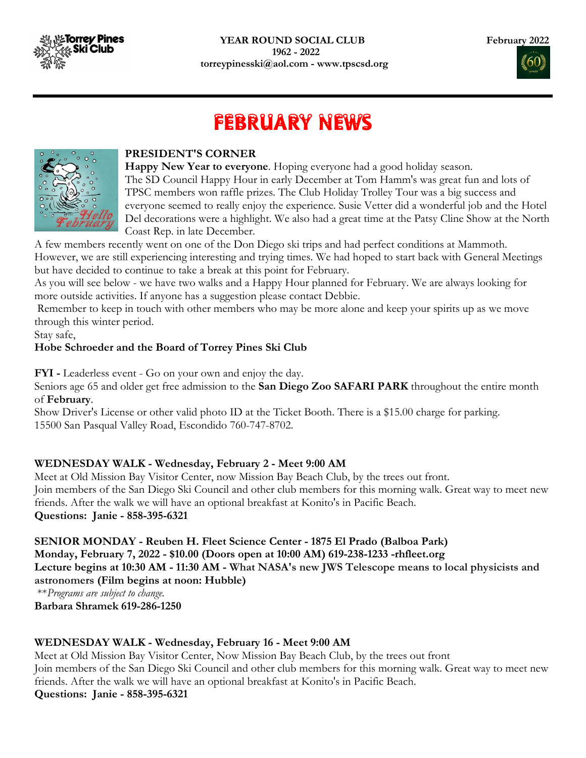

# FEBRUARY NEWS

I



#### PRESIDENT'S CORNER

Happy New Year to everyone. Hoping everyone had a good holiday season. The SD Council Happy Hour in early December at Tom Hamm's was great fun and lots of TPSC members won raffle prizes. The Club Holiday Trolley Tour was a big success and everyone seemed to really enjoy the experience. Susie Vetter did a wonderful job and the Hotel Del decorations were a highlight. We also had a great time at the Patsy Cline Show at the North Coast Rep. in late December.

A few members recently went on one of the Don Diego ski trips and had perfect conditions at Mammoth. However, we are still experiencing interesting and trying times. We had hoped to start back with General Meetings but have decided to continue to take a break at this point for February.

As you will see below - we have two walks and a Happy Hour planned for February. We are always looking for more outside activities. If anyone has a suggestion please contact Debbie.

 Remember to keep in touch with other members who may be more alone and keep your spirits up as we move through this winter period.

Stay safe,

#### Hobe Schroeder and the Board of Torrey Pines Ski Club

FYI - Leaderless event - Go on your own and enjoy the day.

Seniors age 65 and older get free admission to the San Diego Zoo SAFARI PARK throughout the entire month of February.

Show Driver's License or other valid photo ID at the Ticket Booth. There is a \$15.00 charge for parking. 15500 San Pasqual Valley Road, Escondido 760-747-8702.

#### WEDNESDAY WALK - Wednesday, February 2 - Meet 9:00 AM

Meet at Old Mission Bay Visitor Center, now Mission Bay Beach Club, by the trees out front. Join members of the San Diego Ski Council and other club members for this morning walk. Great way to meet new friends. After the walk we will have an optional breakfast at Konito's in Pacific Beach. Questions: Janie - 858-395-6321

SENIOR MONDAY - Reuben H. Fleet Science Center - 1875 El Prado (Balboa Park) Monday, February 7, 2022 - \$10.00 (Doors open at 10:00 AM) 619-238-1233 -rhfleet.org Lecture begins at 10:30 AM - 11:30 AM - What NASA's new JWS Telescope means to local physicists and astronomers (Film begins at noon: Hubble) \*\*Programs are subject to change.

Barbara Shramek 619-286-1250

#### WEDNESDAY WALK - Wednesday, February 16 - Meet 9:00 AM

Meet at Old Mission Bay Visitor Center, Now Mission Bay Beach Club, by the trees out front Join members of the San Diego Ski Council and other club members for this morning walk. Great way to meet new friends. After the walk we will have an optional breakfast at Konito's in Pacific Beach. Questions: Janie - 858-395-6321